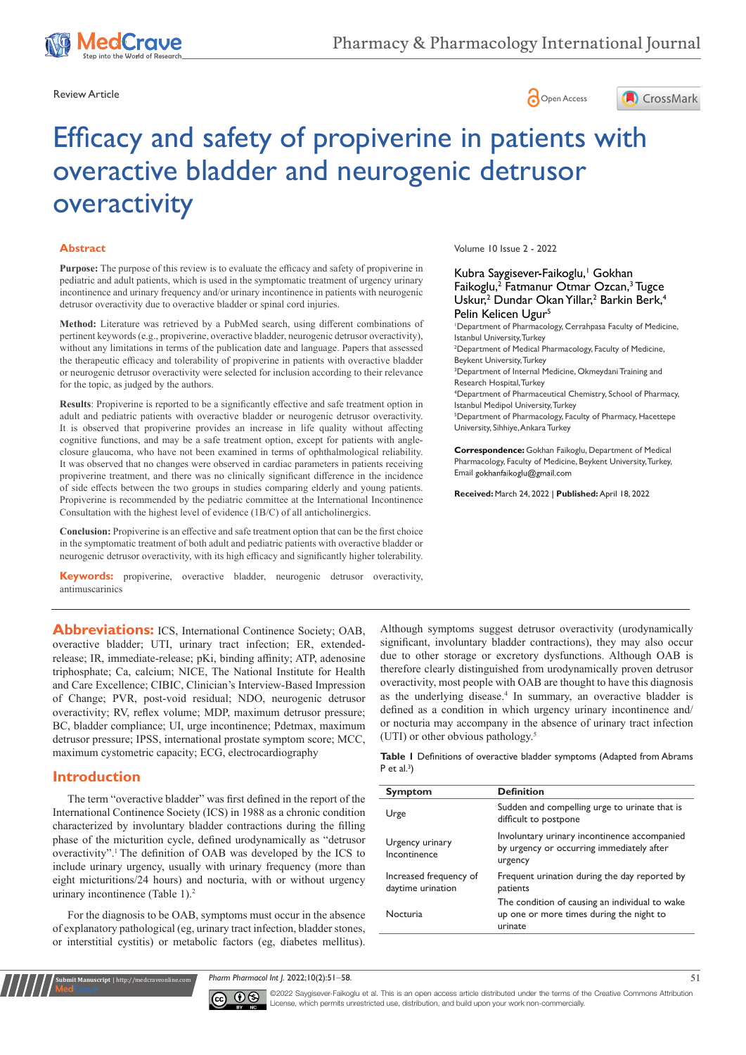



# Efficacy and safety of propiverine in patients with overactive bladder and neurogenic detrusor overactivity

#### **Abstract**

**Purpose:** The purpose of this review is to evaluate the efficacy and safety of propiverine in pediatric and adult patients, which is used in the symptomatic treatment of urgency urinary incontinence and urinary frequency and/or urinary incontinence in patients with neurogenic detrusor overactivity due to overactive bladder or spinal cord injuries.

**Method:** Literature was retrieved by a PubMed search, using different combinations of pertinent keywords (e.g., propiverine, overactive bladder, neurogenic detrusor overactivity), without any limitations in terms of the publication date and language. Papers that assessed the therapeutic efficacy and tolerability of propiverine in patients with overactive bladder or neurogenic detrusor overactivity were selected for inclusion according to their relevance for the topic, as judged by the authors.

**Results**: Propiverine is reported to be a significantly effective and safe treatment option in adult and pediatric patients with overactive bladder or neurogenic detrusor overactivity. It is observed that propiverine provides an increase in life quality without affecting cognitive functions, and may be a safe treatment option, except for patients with angleclosure glaucoma, who have not been examined in terms of ophthalmological reliability. It was observed that no changes were observed in cardiac parameters in patients receiving propiverine treatment, and there was no clinically significant difference in the incidence of side effects between the two groups in studies comparing elderly and young patients. Propiverine is recommended by the pediatric committee at the International Incontinence Consultation with the highest level of evidence (1B/C) of all anticholinergics.

**Conclusion:** Propiverine is an effective and safe treatment option that can be the first choice in the symptomatic treatment of both adult and pediatric patients with overactive bladder or neurogenic detrusor overactivity, with its high efficacy and significantly higher tolerability.

**Keywords:** propiverine, overactive bladder, neurogenic detrusor overactivity, antimuscarinics

Abbreviations: ICS, International Continence Society; OAB, overactive bladder; UTI, urinary tract infection; ER, extendedrelease; IR, immediate-release; pKi, binding affinity; ATP, adenosine triphosphate; Ca, calcium; NICE, The National Institute for Health and Care Excellence; CIBIC, Clinician's Interview-Based Impression of Change; PVR, post-void residual; NDO, neurogenic detrusor overactivity; RV, reflex volume; MDP, maximum detrusor pressure; BC, bladder compliance; UI, urge incontinence; Pdetmax, maximum detrusor pressure; IPSS, international prostate symptom score; MCC, maximum cystometric capacity; ECG, electrocardiography

# **Introduction**

**Kubmit Manuscript** | http://medcraveonline.c

The term "overactive bladder" was first defined in the report of the International Continence Society (ICS) in 1988 as a chronic condition characterized by involuntary bladder contractions during the filling phase of the micturition cycle, defined urodynamically as "detrusor overactivity".1 The definition of OAB was developed by the ICS to include urinary urgency, usually with urinary frequency (more than eight micturitions/24 hours) and nocturia, with or without urgency urinary incontinence (Table 1).<sup>2</sup>

For the diagnosis to be OAB, symptoms must occur in the absence of explanatory pathological (eg, urinary tract infection, bladder stones, or interstitial cystitis) or metabolic factors (eg, diabetes mellitus).

Volume 10 Issue 2 - 2022

Kubra Saygisever-Faikoglu,<sup>1</sup> Gokhan Faikoglu,<sup>2</sup> Fatmanur Otmar Ozcan,<sup>3</sup> Tugce Uskur,<sup>2</sup> Dundar Okan Yillar,<sup>2</sup> Barkin Berk,<sup>4</sup> Pelin Kelicen Ugur<sup>5</sup>

1 Department of Pharmacology, Cerrahpasa Faculty of Medicine, Istanbul University, Turkey

2 Department of Medical Pharmacology, Faculty of Medicine, Beykent University, Turkey

3 Department of Internal Medicine, Okmeydani Training and Research Hospital, Turkey

4 Department of Pharmaceutical Chemistry, School of Pharmacy, Istanbul Medipol University, Turkey

5 Department of Pharmacology, Faculty of Pharmacy, Hacettepe University, Sihhiye, Ankara Turkey

**Correspondence:** Gokhan Faikoglu, Department of Medical Pharmacology, Faculty of Medicine, Beykent University, Turkey, Email gokhanfaikoglu@gmail.com

**Received:** March 24, 2022 | **Published:** April 18, 2022

Although symptoms suggest detrusor overactivity (urodynamically significant, involuntary bladder contractions), they may also occur due to other storage or excretory dysfunctions. Although OAB is therefore clearly distinguished from urodynamically proven detrusor overactivity, most people with OAB are thought to have this diagnosis as the underlying disease.<sup>4</sup> In summary, an overactive bladder is defined as a condition in which urgency urinary incontinence and/ or nocturia may accompany in the absence of urinary tract infection (UTI) or other obvious pathology.5

**Table 1** Definitions of overactive bladder symptoms (Adapted from Abrams P et al. $3$ )

| <b>Symptom</b>                              | <b>Definition</b>                                                                                     |
|---------------------------------------------|-------------------------------------------------------------------------------------------------------|
| Urge                                        | Sudden and compelling urge to urinate that is<br>difficult to postpone                                |
| Urgency urinary<br>Incontinence             | Involuntary urinary incontinence accompanied<br>by urgency or occurring immediately after<br>urgency  |
| Increased frequency of<br>daytime urination | Frequent urination during the day reported by<br>patients                                             |
| Nocturia                                    | The condition of causing an individual to wake<br>up one or more times during the night to<br>urinate |

*Pharm Pharmacol Int J.* 2022;10(2):51‒58. 51



©2022 Saygisever-Faikoglu et al. This is an open access article distributed under the terms of the Creative Commons Attribution License, which permits unrestricted use, distribution, and build upon your work non-commercially.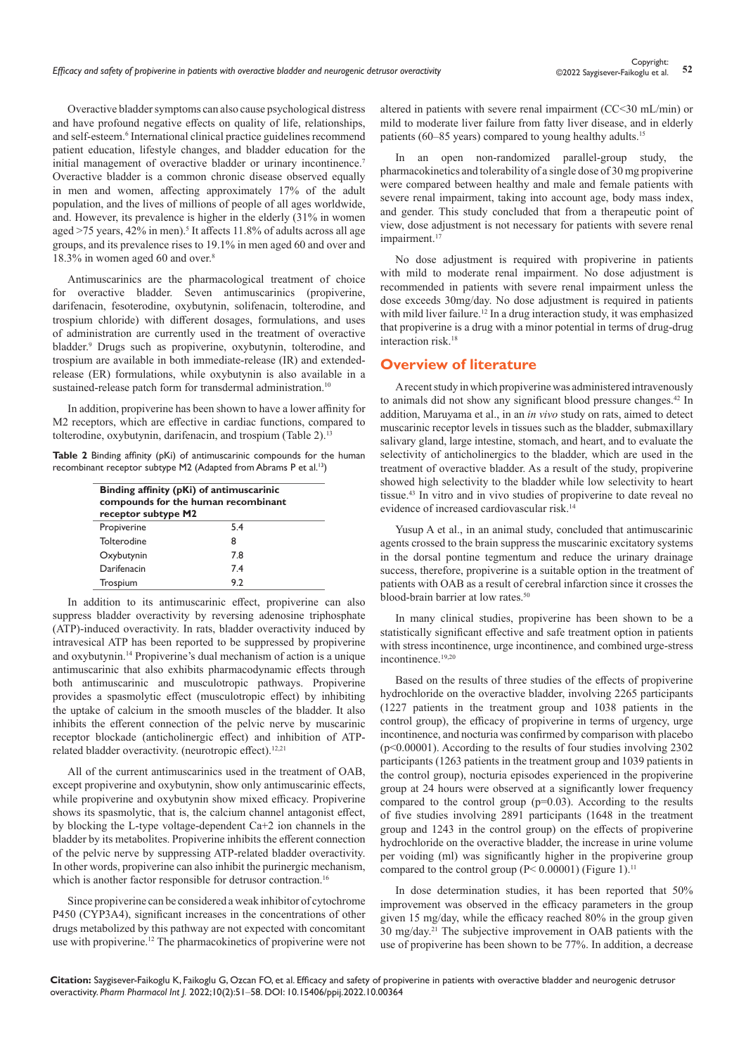Overactive bladder symptoms can also cause psychological distress and have profound negative effects on quality of life, relationships, and self-esteem.<sup>6</sup> International clinical practice guidelines recommend patient education, lifestyle changes, and bladder education for the initial management of overactive bladder or urinary incontinence.<sup>7</sup> Overactive bladder is a common chronic disease observed equally in men and women, affecting approximately 17% of the adult population, and the lives of millions of people of all ages worldwide, and. However, its prevalence is higher in the elderly (31% in women aged >75 years, 42% in men).<sup>5</sup> It affects 11.8% of adults across all age groups, and its prevalence rises to 19.1% in men aged 60 and over and 18.3% in women aged 60 and over.<sup>8</sup>

Antimuscarinics are the pharmacological treatment of choice for overactive bladder. Seven antimuscarinics (propiverine, darifenacin, fesoterodine, oxybutynin, solifenacin, tolterodine, and trospium chloride) with different dosages, formulations, and uses of administration are currently used in the treatment of overactive bladder.9 Drugs such as propiverine, oxybutynin, tolterodine, and trospium are available in both immediate-release (IR) and extendedrelease (ER) formulations, while oxybutynin is also available in a sustained-release patch form for transdermal administration.<sup>10</sup>

In addition, propiverine has been shown to have a lower affinity for M2 receptors, which are effective in cardiac functions, compared to tolterodine, oxybutynin, darifenacin, and trospium (Table 2).<sup>13</sup>

|  |  |  | <b>Table 2</b> Binding affinity (pKi) of antimuscarinic compounds for the human |  |  |
|--|--|--|---------------------------------------------------------------------------------|--|--|
|  |  |  | recombinant receptor subtype M2 (Adapted from Abrams P et al. <sup>13</sup> )   |  |  |

| Binding affinity (pKi) of antimuscarinic<br>compounds for the human recombinant<br>receptor subtype M2 |     |  |  |  |
|--------------------------------------------------------------------------------------------------------|-----|--|--|--|
| Propiverine                                                                                            | 5.4 |  |  |  |
| Tolterodine                                                                                            | 8   |  |  |  |
| Oxybutynin                                                                                             | 7.8 |  |  |  |
| Darifenacin                                                                                            | 7.4 |  |  |  |
| Trospium                                                                                               | 9.2 |  |  |  |

In addition to its antimuscarinic effect, propiverine can also suppress bladder overactivity by reversing adenosine triphosphate (ATP)-induced overactivity. In rats, bladder overactivity induced by intravesical ATP has been reported to be suppressed by propiverine and oxybutynin.14 Propiverine's dual mechanism of action is a unique antimuscarinic that also exhibits pharmacodynamic effects through both antimuscarinic and musculotropic pathways. Propiverine provides a spasmolytic effect (musculotropic effect) by inhibiting the uptake of calcium in the smooth muscles of the bladder. It also inhibits the efferent connection of the pelvic nerve by muscarinic receptor blockade (anticholinergic effect) and inhibition of ATPrelated bladder overactivity. (neurotropic effect).<sup>12,21</sup>

All of the current antimuscarinics used in the treatment of OAB, except propiverine and oxybutynin, show only antimuscarinic effects, while propiverine and oxybutynin show mixed efficacy. Propiverine shows its spasmolytic, that is, the calcium channel antagonist effect, by blocking the L-type voltage-dependent Ca+2 ion channels in the bladder by its metabolites. Propiverine inhibits the efferent connection of the pelvic nerve by suppressing ATP-related bladder overactivity. In other words, propiverine can also inhibit the purinergic mechanism, which is another factor responsible for detrusor contraction.<sup>16</sup>

Since propiverine can be considered a weak inhibitor of cytochrome P450 (CYP3A4), significant increases in the concentrations of other drugs metabolized by this pathway are not expected with concomitant use with propiverine.<sup>12</sup> The pharmacokinetics of propiverine were not altered in patients with severe renal impairment (CC<30 mL/min) or mild to moderate liver failure from fatty liver disease, and in elderly patients (60–85 years) compared to young healthy adults.<sup>15</sup>

In an open non-randomized parallel-group study, the pharmacokinetics and tolerability of a single dose of 30 mg propiverine were compared between healthy and male and female patients with severe renal impairment, taking into account age, body mass index, and gender. This study concluded that from a therapeutic point of view, dose adjustment is not necessary for patients with severe renal impairment.<sup>17</sup>

No dose adjustment is required with propiverine in patients with mild to moderate renal impairment. No dose adjustment is recommended in patients with severe renal impairment unless the dose exceeds 30mg/day. No dose adjustment is required in patients with mild liver failure.<sup>12</sup> In a drug interaction study, it was emphasized that propiverine is a drug with a minor potential in terms of drug-drug interaction risk.18

## **Overview of literature**

A recent study in which propiverine was administered intravenously to animals did not show any significant blood pressure changes.<sup>42</sup> In addition, Maruyama et al., in an *in vivo* study on rats, aimed to detect muscarinic receptor levels in tissues such as the bladder, submaxillary salivary gland, large intestine, stomach, and heart, and to evaluate the selectivity of anticholinergics to the bladder, which are used in the treatment of overactive bladder. As a result of the study, propiverine showed high selectivity to the bladder while low selectivity to heart tissue.43 In vitro and in vivo studies of propiverine to date reveal no evidence of increased cardiovascular risk.<sup>14</sup>

Yusup A et al., in an animal study, concluded that antimuscarinic agents crossed to the brain suppress the muscarinic excitatory systems in the dorsal pontine tegmentum and reduce the urinary drainage success, therefore, propiverine is a suitable option in the treatment of patients with OAB as a result of cerebral infarction since it crosses the blood-brain barrier at low rates.<sup>50</sup>

In many clinical studies, propiverine has been shown to be a statistically significant effective and safe treatment option in patients with stress incontinence, urge incontinence, and combined urge-stress incontinence.19,20

Based on the results of three studies of the effects of propiverine hydrochloride on the overactive bladder, involving 2265 participants (1227 patients in the treatment group and 1038 patients in the control group), the efficacy of propiverine in terms of urgency, urge incontinence, and nocturia was confirmed by comparison with placebo (p<0.00001). According to the results of four studies involving 2302 participants (1263 patients in the treatment group and 1039 patients in the control group), nocturia episodes experienced in the propiverine group at 24 hours were observed at a significantly lower frequency compared to the control group  $(p=0.03)$ . According to the results of five studies involving 2891 participants (1648 in the treatment group and 1243 in the control group) on the effects of propiverine hydrochloride on the overactive bladder, the increase in urine volume per voiding (ml) was significantly higher in the propiverine group compared to the control group ( $P < 0.00001$ ) (Figure 1).<sup>11</sup>

In dose determination studies, it has been reported that 50% improvement was observed in the efficacy parameters in the group given 15 mg/day, while the efficacy reached 80% in the group given 30 mg/day.21 The subjective improvement in OAB patients with the use of propiverine has been shown to be 77%. In addition, a decrease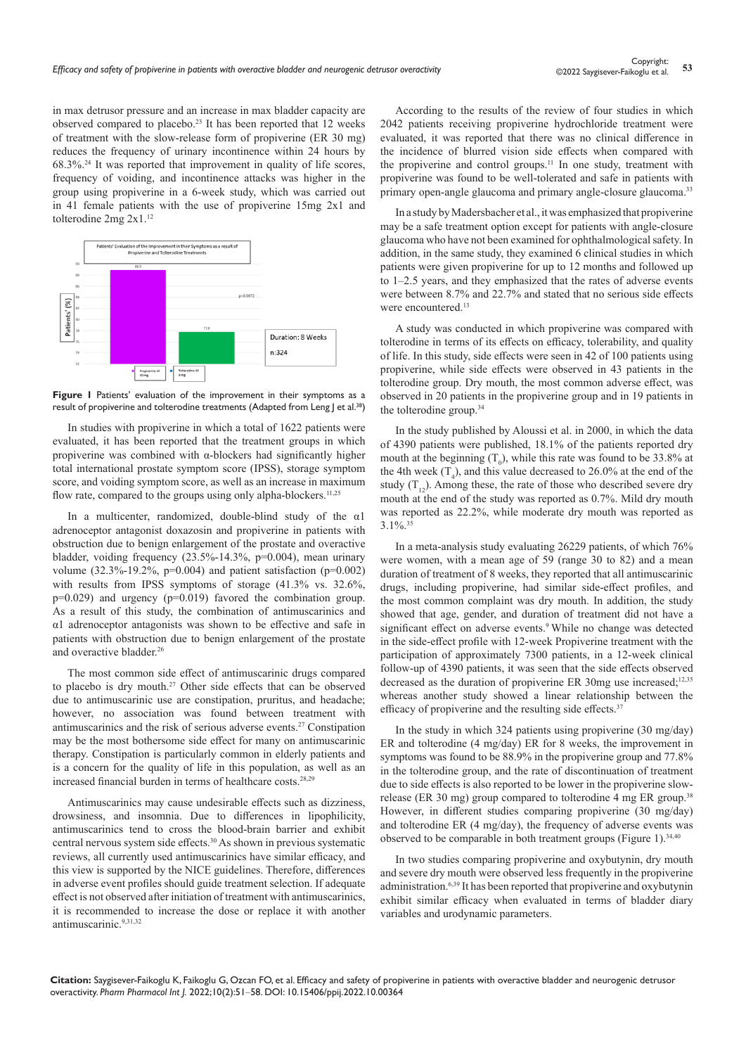in max detrusor pressure and an increase in max bladder capacity are observed compared to placebo.23 It has been reported that 12 weeks of treatment with the slow-release form of propiverine (ER 30 mg) reduces the frequency of urinary incontinence within 24 hours by 68.3%.24 It was reported that improvement in quality of life scores, frequency of voiding, and incontinence attacks was higher in the group using propiverine in a 6-week study, which was carried out in 41 female patients with the use of propiverine 15mg 2x1 and tolterodine 2mg 2x1.<sup>12</sup>



**Figure 1** Patients' evaluation of the improvement in their symptoms as a result of propiverine and tolterodine treatments (Adapted from Leng J et al.<sup>38</sup>)

In studies with propiverine in which a total of 1622 patients were evaluated, it has been reported that the treatment groups in which propiverine was combined with α-blockers had significantly higher total international prostate symptom score (IPSS), storage symptom score, and voiding symptom score, as well as an increase in maximum flow rate, compared to the groups using only alpha-blockers.<sup>11,25</sup>

In a multicenter, randomized, double-blind study of the α1 adrenoceptor antagonist doxazosin and propiverine in patients with obstruction due to benign enlargement of the prostate and overactive bladder, voiding frequency (23.5%-14.3%, p=0.004), mean urinary volume (32.3%-19.2%, p=0.004) and patient satisfaction (p=0.002) with results from IPSS symptoms of storage  $(41.3\%$  vs. 32.6%,  $p=0.029$ ) and urgency ( $p=0.019$ ) favored the combination group. As a result of this study, the combination of antimuscarinics and α1 adrenoceptor antagonists was shown to be effective and safe in patients with obstruction due to benign enlargement of the prostate and overactive bladder.<sup>26</sup>

The most common side effect of antimuscarinic drugs compared to placebo is dry mouth.27 Other side effects that can be observed due to antimuscarinic use are constipation, pruritus, and headache; however, no association was found between treatment with antimuscarinics and the risk of serious adverse events.27 Constipation may be the most bothersome side effect for many on antimuscarinic therapy. Constipation is particularly common in elderly patients and is a concern for the quality of life in this population, as well as an increased financial burden in terms of healthcare costs.28,29

Antimuscarinics may cause undesirable effects such as dizziness, drowsiness, and insomnia. Due to differences in lipophilicity, antimuscarinics tend to cross the blood-brain barrier and exhibit central nervous system side effects.30 As shown in previous systematic reviews, all currently used antimuscarinics have similar efficacy, and this view is supported by the NICE guidelines. Therefore, differences in adverse event profiles should guide treatment selection. If adequate effect is not observed after initiation of treatment with antimuscarinics, it is recommended to increase the dose or replace it with another antimuscarinic.9,31,32

According to the results of the review of four studies in which 2042 patients receiving propiverine hydrochloride treatment were evaluated, it was reported that there was no clinical difference in the incidence of blurred vision side effects when compared with the propiverine and control groups.<sup>11</sup> In one study, treatment with propiverine was found to be well-tolerated and safe in patients with primary open-angle glaucoma and primary angle-closure glaucoma.<sup>33</sup>

In a study by Madersbacher et al., it was emphasized that propiverine may be a safe treatment option except for patients with angle-closure glaucoma who have not been examined for ophthalmological safety. In addition, in the same study, they examined 6 clinical studies in which patients were given propiverine for up to 12 months and followed up to 1–2.5 years, and they emphasized that the rates of adverse events were between 8.7% and 22.7% and stated that no serious side effects were encountered.13

A study was conducted in which propiverine was compared with tolterodine in terms of its effects on efficacy, tolerability, and quality of life. In this study, side effects were seen in 42 of 100 patients using propiverine, while side effects were observed in 43 patients in the tolterodine group. Dry mouth, the most common adverse effect, was observed in 20 patients in the propiverine group and in 19 patients in the tolterodine group.<sup>34</sup>

In the study published by Aloussi et al. in 2000, in which the data of 4390 patients were published, 18.1% of the patients reported dry mouth at the beginning  $(T_0)$ , while this rate was found to be 33.8% at the 4th week  $(T_4)$ , and this value decreased to 26.0% at the end of the study  $(T_{12})$ . Among these, the rate of those who described severe dry mouth at the end of the study was reported as 0.7%. Mild dry mouth was reported as 22.2%, while moderate dry mouth was reported as  $3.1\%$ .  $35$ 

In a meta-analysis study evaluating 26229 patients, of which 76% were women, with a mean age of 59 (range 30 to 82) and a mean duration of treatment of 8 weeks, they reported that all antimuscarinic drugs, including propiverine, had similar side-effect profiles, and the most common complaint was dry mouth. In addition, the study showed that age, gender, and duration of treatment did not have a significant effect on adverse events.<sup>9</sup> While no change was detected in the side-effect profile with 12-week Propiverine treatment with the participation of approximately 7300 patients, in a 12-week clinical follow-up of 4390 patients, it was seen that the side effects observed decreased as the duration of propiverine ER 30mg use increased; $12,35$ whereas another study showed a linear relationship between the efficacy of propiverine and the resulting side effects.<sup>37</sup>

In the study in which 324 patients using propiverine (30 mg/day) ER and tolterodine (4 mg/day) ER for 8 weeks, the improvement in symptoms was found to be 88.9% in the propiverine group and 77.8% in the tolterodine group, and the rate of discontinuation of treatment due to side effects is also reported to be lower in the propiverine slowrelease (ER 30 mg) group compared to tolterodine 4 mg ER group.<sup>38</sup> However, in different studies comparing propiverine (30 mg/day) and tolterodine ER (4 mg/day), the frequency of adverse events was observed to be comparable in both treatment groups (Figure 1).<sup>34,40</sup>

In two studies comparing propiverine and oxybutynin, dry mouth and severe dry mouth were observed less frequently in the propiverine administration.6,39 It has been reported that propiverine and oxybutynin exhibit similar efficacy when evaluated in terms of bladder diary variables and urodynamic parameters.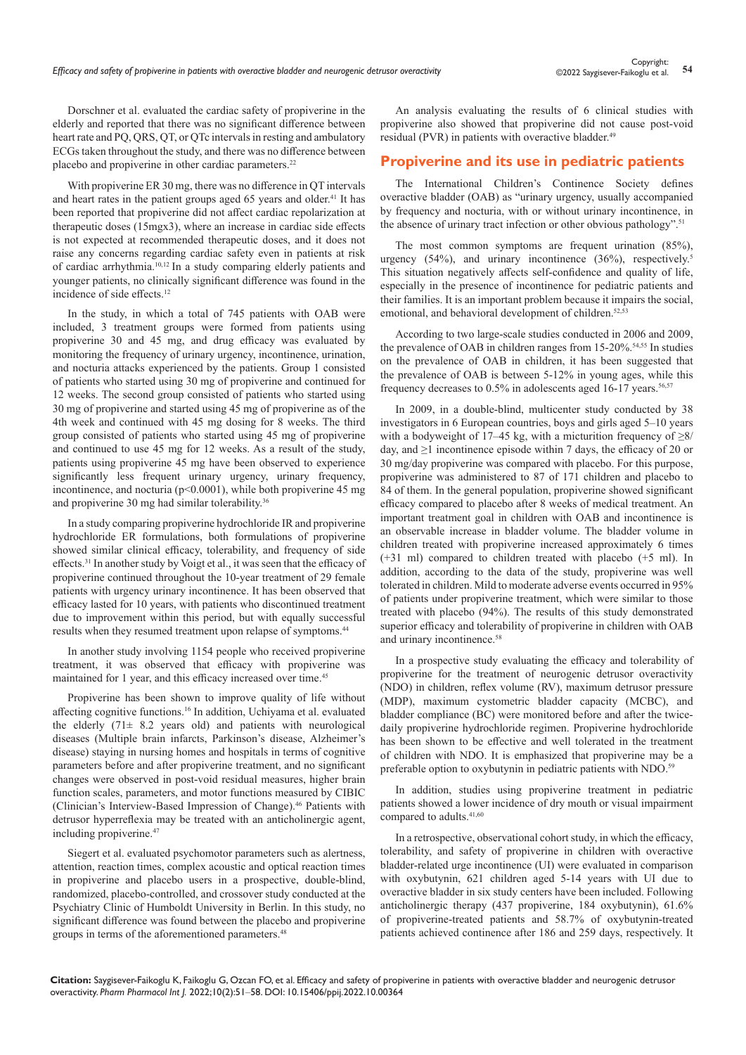Dorschner et al. evaluated the cardiac safety of propiverine in the elderly and reported that there was no significant difference between heart rate and PO, ORS, OT, or OTc intervals in resting and ambulatory ECGs taken throughout the study, and there was no difference between placebo and propiverine in other cardiac parameters.<sup>22</sup>

With propiverine ER 30 mg, there was no difference in QT intervals and heart rates in the patient groups aged 65 years and older.<sup>41</sup> It has been reported that propiverine did not affect cardiac repolarization at therapeutic doses (15mgx3), where an increase in cardiac side effects is not expected at recommended therapeutic doses, and it does not raise any concerns regarding cardiac safety even in patients at risk of cardiac arrhythmia.10,12 In a study comparing elderly patients and younger patients, no clinically significant difference was found in the incidence of side effects.<sup>12</sup>

In the study, in which a total of 745 patients with OAB were included, 3 treatment groups were formed from patients using propiverine 30 and 45 mg, and drug efficacy was evaluated by monitoring the frequency of urinary urgency, incontinence, urination, and nocturia attacks experienced by the patients. Group 1 consisted of patients who started using 30 mg of propiverine and continued for 12 weeks. The second group consisted of patients who started using 30 mg of propiverine and started using 45 mg of propiverine as of the 4th week and continued with 45 mg dosing for 8 weeks. The third group consisted of patients who started using 45 mg of propiverine and continued to use 45 mg for 12 weeks. As a result of the study, patients using propiverine 45 mg have been observed to experience significantly less frequent urinary urgency, urinary frequency, incontinence, and nocturia ( $p<0.0001$ ), while both propiverine 45 mg and propiverine 30 mg had similar tolerability.<sup>36</sup>

In a study comparing propiverine hydrochloride IR and propiverine hydrochloride ER formulations, both formulations of propiverine showed similar clinical efficacy, tolerability, and frequency of side effects.<sup>31</sup> In another study by Voigt et al., it was seen that the efficacy of propiverine continued throughout the 10-year treatment of 29 female patients with urgency urinary incontinence. It has been observed that efficacy lasted for 10 years, with patients who discontinued treatment due to improvement within this period, but with equally successful results when they resumed treatment upon relapse of symptoms.<sup>44</sup>

In another study involving 1154 people who received propiverine treatment, it was observed that efficacy with propiverine was maintained for 1 year, and this efficacy increased over time.<sup>45</sup>

Propiverine has been shown to improve quality of life without affecting cognitive functions.16 In addition, Uchiyama et al. evaluated the elderly  $(71\pm 8.2 \text{ years}$  old) and patients with neurological diseases (Multiple brain infarcts, Parkinson's disease, Alzheimer's disease) staying in nursing homes and hospitals in terms of cognitive parameters before and after propiverine treatment, and no significant changes were observed in post-void residual measures, higher brain function scales, parameters, and motor functions measured by CIBIC (Clinician's Interview-Based Impression of Change).<sup>46</sup> Patients with detrusor hyperreflexia may be treated with an anticholinergic agent, including propiverine.47

Siegert et al. evaluated psychomotor parameters such as alertness, attention, reaction times, complex acoustic and optical reaction times in propiverine and placebo users in a prospective, double-blind, randomized, placebo-controlled, and crossover study conducted at the Psychiatry Clinic of Humboldt University in Berlin. In this study, no significant difference was found between the placebo and propiverine groups in terms of the aforementioned parameters.<sup>48</sup>

An analysis evaluating the results of 6 clinical studies with propiverine also showed that propiverine did not cause post-void residual (PVR) in patients with overactive bladder.<sup>49</sup>

## **Propiverine and its use in pediatric patients**

The International Children's Continence Society defines overactive bladder (OAB) as "urinary urgency, usually accompanied by frequency and nocturia, with or without urinary incontinence, in the absence of urinary tract infection or other obvious pathology".<sup>51</sup>

The most common symptoms are frequent urination (85%), urgency (54%), and urinary incontinence (36%), respectively.<sup>5</sup> This situation negatively affects self-confidence and quality of life, especially in the presence of incontinence for pediatric patients and their families. It is an important problem because it impairs the social, emotional, and behavioral development of children.<sup>52,53</sup>

According to two large-scale studies conducted in 2006 and 2009, the prevalence of OAB in children ranges from 15-20%.<sup>54,55</sup> In studies on the prevalence of OAB in children, it has been suggested that the prevalence of OAB is between 5-12% in young ages, while this frequency decreases to  $0.5\%$  in adolescents aged 16-17 years.<sup>56,57</sup>

In 2009, in a double-blind, multicenter study conducted by 38 investigators in 6 European countries, boys and girls aged 5–10 years with a bodyweight of  $17–45$  kg, with a micturition frequency of  $>8/$ day, and  $\geq 1$  incontinence episode within 7 days, the efficacy of 20 or 30 mg/day propiverine was compared with placebo. For this purpose, propiverine was administered to 87 of 171 children and placebo to 84 of them. In the general population, propiverine showed significant efficacy compared to placebo after 8 weeks of medical treatment. An important treatment goal in children with OAB and incontinence is an observable increase in bladder volume. The bladder volume in children treated with propiverine increased approximately 6 times (+31 ml) compared to children treated with placebo (+5 ml). In addition, according to the data of the study, propiverine was well tolerated in children. Mild to moderate adverse events occurred in 95% of patients under propiverine treatment, which were similar to those treated with placebo (94%). The results of this study demonstrated superior efficacy and tolerability of propiverine in children with OAB and urinary incontinence.<sup>58</sup>

In a prospective study evaluating the efficacy and tolerability of propiverine for the treatment of neurogenic detrusor overactivity (NDO) in children, reflex volume (RV), maximum detrusor pressure (MDP), maximum cystometric bladder capacity (MCBC), and bladder compliance (BC) were monitored before and after the twicedaily propiverine hydrochloride regimen. Propiverine hydrochloride has been shown to be effective and well tolerated in the treatment of children with NDO. It is emphasized that propiverine may be a preferable option to oxybutynin in pediatric patients with NDO.<sup>59</sup>

In addition, studies using propiverine treatment in pediatric patients showed a lower incidence of dry mouth or visual impairment compared to adults.<sup>41,60</sup>

In a retrospective, observational cohort study, in which the efficacy, tolerability, and safety of propiverine in children with overactive bladder-related urge incontinence (UI) were evaluated in comparison with oxybutynin, 621 children aged 5-14 years with UI due to overactive bladder in six study centers have been included. Following anticholinergic therapy (437 propiverine, 184 oxybutynin), 61.6% of propiverine-treated patients and 58.7% of oxybutynin-treated patients achieved continence after 186 and 259 days, respectively. It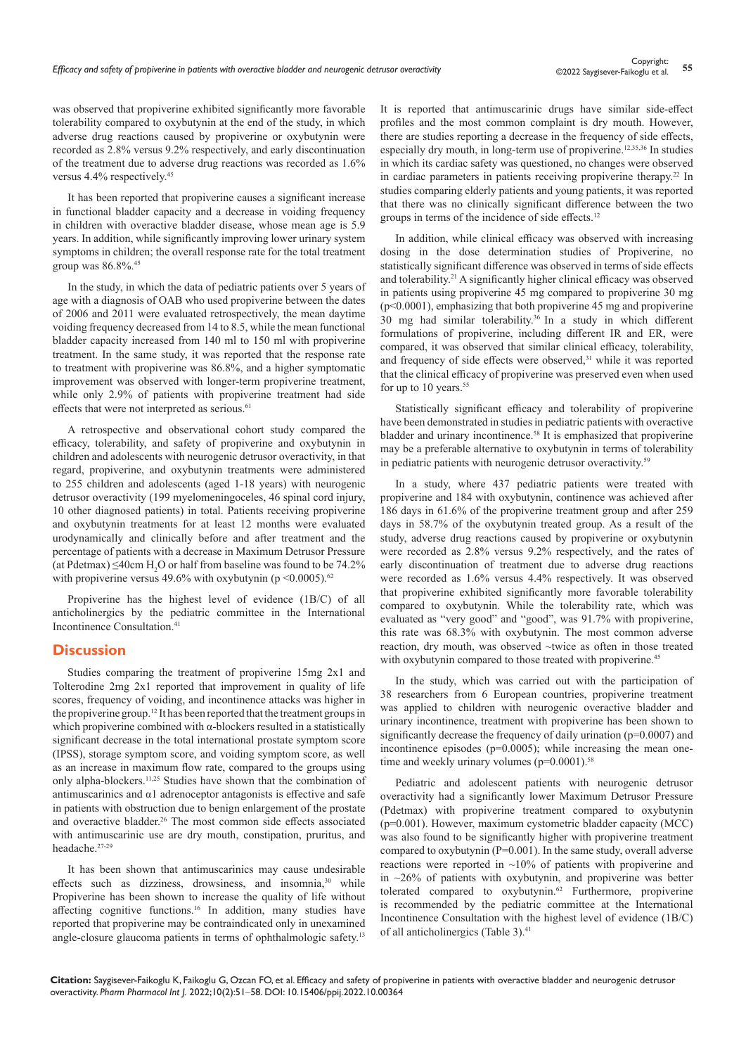was observed that propiverine exhibited significantly more favorable tolerability compared to oxybutynin at the end of the study, in which adverse drug reactions caused by propiverine or oxybutynin were recorded as 2.8% versus 9.2% respectively, and early discontinuation of the treatment due to adverse drug reactions was recorded as 1.6% versus 4.4% respectively.<sup>45</sup>

It has been reported that propiverine causes a significant increase in functional bladder capacity and a decrease in voiding frequency in children with overactive bladder disease, whose mean age is 5.9 years. In addition, while significantly improving lower urinary system symptoms in children; the overall response rate for the total treatment group was 86.8%.<sup>45</sup>

In the study, in which the data of pediatric patients over 5 years of age with a diagnosis of OAB who used propiverine between the dates of 2006 and 2011 were evaluated retrospectively, the mean daytime voiding frequency decreased from 14 to 8.5, while the mean functional bladder capacity increased from 140 ml to 150 ml with propiverine treatment. In the same study, it was reported that the response rate to treatment with propiverine was 86.8%, and a higher symptomatic improvement was observed with longer-term propiverine treatment, while only 2.9% of patients with propiverine treatment had side effects that were not interpreted as serious.<sup>61</sup>

A retrospective and observational cohort study compared the efficacy, tolerability, and safety of propiverine and oxybutynin in children and adolescents with neurogenic detrusor overactivity, in that regard, propiverine, and oxybutynin treatments were administered to 255 children and adolescents (aged 1-18 years) with neurogenic detrusor overactivity (199 myelomeningoceles, 46 spinal cord injury, 10 other diagnosed patients) in total. Patients receiving propiverine and oxybutynin treatments for at least 12 months were evaluated urodynamically and clinically before and after treatment and the percentage of patients with a decrease in Maximum Detrusor Pressure (at Pdetmax)  $\leq$ 40cm H<sub>2</sub>O or half from baseline was found to be 74.2% with propiverine versus 49.6% with oxybutynin (p <0.0005).<sup>62</sup>

Propiverine has the highest level of evidence (1B/C) of all anticholinergics by the pediatric committee in the International Incontinence Consultation.41

#### **Discussion**

Studies comparing the treatment of propiverine 15mg 2x1 and Tolterodine 2mg 2x1 reported that improvement in quality of life scores, frequency of voiding, and incontinence attacks was higher in the propiverine group.12 It has been reported that the treatment groups in which propiverine combined with  $\alpha$ -blockers resulted in a statistically significant decrease in the total international prostate symptom score (IPSS), storage symptom score, and voiding symptom score, as well as an increase in maximum flow rate, compared to the groups using only alpha-blockers.11,25 Studies have shown that the combination of antimuscarinics and α1 adrenoceptor antagonists is effective and safe in patients with obstruction due to benign enlargement of the prostate and overactive bladder.<sup>26</sup> The most common side effects associated with antimuscarinic use are dry mouth, constipation, pruritus, and headache.27-29

It has been shown that antimuscarinics may cause undesirable effects such as dizziness, drowsiness, and insomnia,<sup>30</sup> while Propiverine has been shown to increase the quality of life without affecting cognitive functions.16 In addition, many studies have reported that propiverine may be contraindicated only in unexamined angle-closure glaucoma patients in terms of ophthalmologic safety.13

It is reported that antimuscarinic drugs have similar side-effect profiles and the most common complaint is dry mouth. However, there are studies reporting a decrease in the frequency of side effects, especially dry mouth, in long-term use of propiverine.<sup>12,35,36</sup> In studies in which its cardiac safety was questioned, no changes were observed in cardiac parameters in patients receiving propiverine therapy.22 In studies comparing elderly patients and young patients, it was reported that there was no clinically significant difference between the two groups in terms of the incidence of side effects.<sup>12</sup>

In addition, while clinical efficacy was observed with increasing dosing in the dose determination studies of Propiverine, no statistically significant difference was observed in terms of side effects and tolerability.<sup>21</sup> A significantly higher clinical efficacy was observed in patients using propiverine 45 mg compared to propiverine 30 mg (p<0.0001), emphasizing that both propiverine 45 mg and propiverine 30 mg had similar tolerability.<sup>36</sup>In a study in which different formulations of propiverine, including different IR and ER, were compared, it was observed that similar clinical efficacy, tolerability, and frequency of side effects were observed,<sup>31</sup> while it was reported that the clinical efficacy of propiverine was preserved even when used for up to 10 years.<sup>55</sup>

Statistically significant efficacy and tolerability of propiverine have been demonstrated in studies in pediatric patients with overactive bladder and urinary incontinence.<sup>58</sup> It is emphasized that propiverine may be a preferable alternative to oxybutynin in terms of tolerability in pediatric patients with neurogenic detrusor overactivity.<sup>59</sup>

In a study, where 437 pediatric patients were treated with propiverine and 184 with oxybutynin, continence was achieved after 186 days in 61.6% of the propiverine treatment group and after 259 days in 58.7% of the oxybutynin treated group. As a result of the study, adverse drug reactions caused by propiverine or oxybutynin were recorded as 2.8% versus 9.2% respectively, and the rates of early discontinuation of treatment due to adverse drug reactions were recorded as 1.6% versus 4.4% respectively. It was observed that propiverine exhibited significantly more favorable tolerability compared to oxybutynin. While the tolerability rate, which was evaluated as "very good" and "good", was 91.7% with propiverine, this rate was 68.3% with oxybutynin. The most common adverse reaction, dry mouth, was observed ~twice as often in those treated with oxybutynin compared to those treated with propiverine.<sup>45</sup>

In the study, which was carried out with the participation of 38 researchers from 6 European countries, propiverine treatment was applied to children with neurogenic overactive bladder and urinary incontinence, treatment with propiverine has been shown to significantly decrease the frequency of daily urination (p=0.0007) and incontinence episodes ( $p=0.0005$ ); while increasing the mean onetime and weekly urinary volumes  $(p=0.0001)$ .<sup>58</sup>

Pediatric and adolescent patients with neurogenic detrusor overactivity had a significantly lower Maximum Detrusor Pressure (Pdetmax) with propiverine treatment compared to oxybutynin (p=0.001). However, maximum cystometric bladder capacity (MCC) was also found to be significantly higher with propiverine treatment compared to oxybutynin  $(P=0.001)$ . In the same study, overall adverse reactions were reported in ~10% of patients with propiverine and in  $\approx$  26% of patients with oxybutynin, and propiverine was better tolerated compared to oxybutynin.62 Furthermore, propiverine is recommended by the pediatric committee at the International Incontinence Consultation with the highest level of evidence (1B/C) of all anticholinergics (Table 3).<sup>41</sup>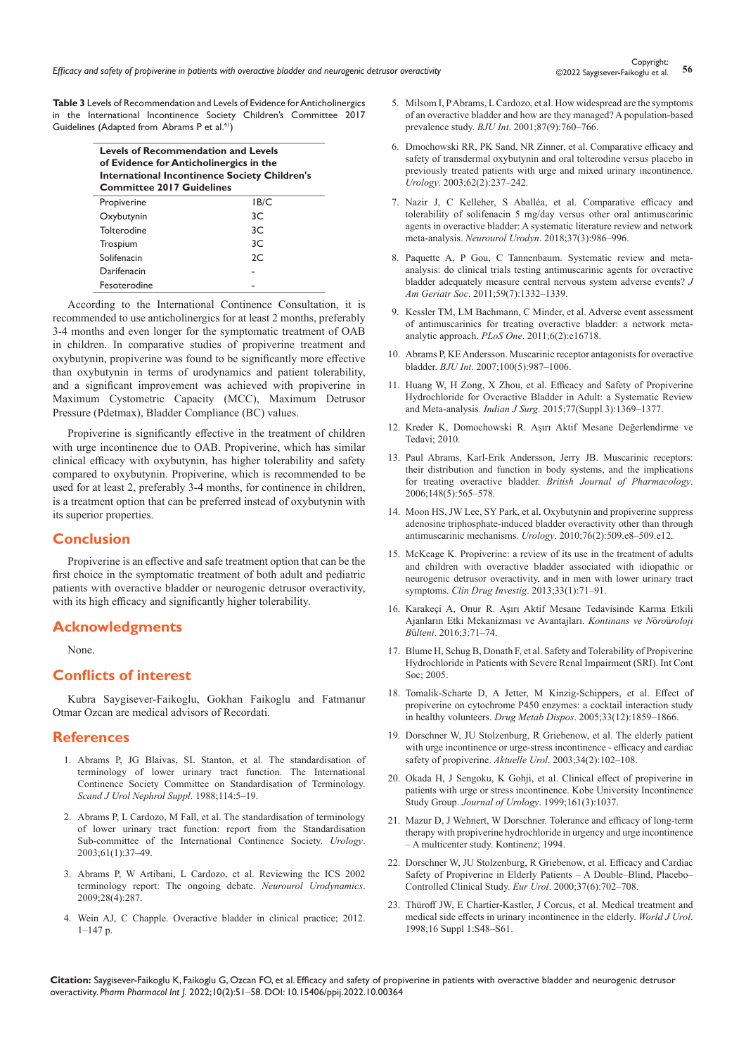**Table 3** Levels of Recommendation and Levels of Evidence for Anticholinergics in the International Incontinence Society Children's Committee 2017 Guidelines (Adapted from Abrams P et al.<sup>41</sup>)

| <b>Levels of Recommendation and Levels</b><br>of Evidence for Anticholinergics in the<br><b>International Incontinence Society Children's</b><br><b>Committee 2017 Guidelines</b> |      |  |  |  |
|-----------------------------------------------------------------------------------------------------------------------------------------------------------------------------------|------|--|--|--|
| Propiverine                                                                                                                                                                       | IB/C |  |  |  |
| Oxybutynin                                                                                                                                                                        | 3C.  |  |  |  |
| Tolterodine                                                                                                                                                                       | 3C   |  |  |  |
| Trospium                                                                                                                                                                          | 3C.  |  |  |  |
| Solifenacin                                                                                                                                                                       | 2C   |  |  |  |
| Darifenacin                                                                                                                                                                       |      |  |  |  |
| Fesoterodine                                                                                                                                                                      |      |  |  |  |

According to the International Continence Consultation, it is recommended to use anticholinergics for at least 2 months, preferably 3-4 months and even longer for the symptomatic treatment of OAB in children. In comparative studies of propiverine treatment and oxybutynin, propiverine was found to be significantly more effective than oxybutynin in terms of urodynamics and patient tolerability, and a significant improvement was achieved with propiverine in Maximum Cystometric Capacity (MCC), Maximum Detrusor Pressure (Pdetmax), Bladder Compliance (BC) values.

Propiverine is significantly effective in the treatment of children with urge incontinence due to OAB. Propiverine, which has similar clinical efficacy with oxybutynin, has higher tolerability and safety compared to oxybutynin. Propiverine, which is recommended to be used for at least 2, preferably 3-4 months, for continence in children, is a treatment option that can be preferred instead of oxybutynin with its superior properties.

## **Conclusion**

Propiverine is an effective and safe treatment option that can be the first choice in the symptomatic treatment of both adult and pediatric patients with overactive bladder or neurogenic detrusor overactivity, with its high efficacy and significantly higher tolerability.

# **Acknowledgments**

None.

#### **Conflicts of interest**

Kubra Saygisever-Faikoglu, Gokhan Faikoglu and Fatmanur Otmar Ozcan are medical advisors of Recordati.

#### **References**

- 1. [Abrams P, JG Blaivas, SL Stanton, et al. The standardisation of](https://pubmed.ncbi.nlm.nih.gov/3201169/)  [terminology of lower urinary tract function. The International](https://pubmed.ncbi.nlm.nih.gov/3201169/)  [Continence Society Committee on Standardisation of Terminology.](https://pubmed.ncbi.nlm.nih.gov/3201169/)  *[Scand J Urol Nephrol Suppl](https://pubmed.ncbi.nlm.nih.gov/3201169/)*. 1988;114:5–19.
- 2. [Abrams P, L Cardozo, M Fall, et al. The standardisation of terminology](https://pubmed.ncbi.nlm.nih.gov/12559262/)  [of lower urinary tract function: report from the Standardisation](https://pubmed.ncbi.nlm.nih.gov/12559262/)  [Sub-committee of the International Continence Society.](https://pubmed.ncbi.nlm.nih.gov/12559262/) *Urology*. [2003;61\(1\):37–49.](https://pubmed.ncbi.nlm.nih.gov/12559262/)
- 3. [Abrams P, W Artibani, L Cardozo, et al. Reviewing the ICS 2002](https://pubmed.ncbi.nlm.nih.gov/19350662/)  [terminology report: The ongoing debate.](https://pubmed.ncbi.nlm.nih.gov/19350662/) *Neurourol Urodynamics*. [2009;28\(4\):287.](https://pubmed.ncbi.nlm.nih.gov/19350662/)
- 4. Wein AJ, C Chapple. Overactive bladder in clinical practice; 2012.  $1-147$  p.
- 5. [Milsom I, P Abrams, L Cardozo, et al. How widespread are the symptoms](https://pubmed.ncbi.nlm.nih.gov/11412210/)  [of an overactive bladder and how are they managed? A population-based](https://pubmed.ncbi.nlm.nih.gov/11412210/)  prevalence study. *BJU Int*[. 2001;87\(9\):760–766.](https://pubmed.ncbi.nlm.nih.gov/11412210/)
- 6. [Dmochowski RR, PK Sand, NR Zinner, et al. Comparative efficacy and](https://pubmed.ncbi.nlm.nih.gov/12893326/)  [safety of transdermal oxybutynin and oral tolterodine versus placebo in](https://pubmed.ncbi.nlm.nih.gov/12893326/)  [previously treated patients with urge and mixed urinary incontinence.](https://pubmed.ncbi.nlm.nih.gov/12893326/)  *Urology*[. 2003;62\(2\):237–242.](https://pubmed.ncbi.nlm.nih.gov/12893326/)
- 7. [Nazir J, C Kelleher, S Aballéa, et al. Comparative efficacy and](https://pubmed.ncbi.nlm.nih.gov/29140559/)  [tolerability of solifenacin 5 mg/day versus other oral antimuscarinic](https://pubmed.ncbi.nlm.nih.gov/29140559/)  [agents in overactive bladder: A systematic literature review and network](https://pubmed.ncbi.nlm.nih.gov/29140559/)  meta-analysis. *Neurourol Urodyn*[. 2018;37\(3\):986–996.](https://pubmed.ncbi.nlm.nih.gov/29140559/)
- 8. [Paquette A, P Gou, C Tannenbaum. Systematic review and meta](https://pubmed.ncbi.nlm.nih.gov/21718264/)[analysis: do clinical trials testing antimuscarinic agents for overactive](https://pubmed.ncbi.nlm.nih.gov/21718264/)  [bladder adequately measure central nervous system adverse events?](https://pubmed.ncbi.nlm.nih.gov/21718264/) *J Am Geriatr Soc*[. 2011;59\(7\):1332–1339.](https://pubmed.ncbi.nlm.nih.gov/21718264/)
- 9. [Kessler TM, LM Bachmann, C Minder, et al. Adverse event assessment](https://pubmed.ncbi.nlm.nih.gov/21373193/)  [of antimuscarinics for treating overactive bladder: a network meta](https://pubmed.ncbi.nlm.nih.gov/21373193/)analytic approach. *PLoS One*[. 2011;6\(2\):e16718.](https://pubmed.ncbi.nlm.nih.gov/21373193/)
- 10. [Abrams P, KE Andersson. Muscarinic receptor antagonists for overactive](https://pubmed.ncbi.nlm.nih.gov/17922784/)  bladder. *BJU Int*[. 2007;100\(5\):987–1006.](https://pubmed.ncbi.nlm.nih.gov/17922784/)
- 11. [Huang W, H Zong, X Zhou, et al. Efficacy and Safety of Propiverine](https://pubmed.ncbi.nlm.nih.gov/27011567/)  [Hydrochloride for Overactive Bladder in Adult: a Systematic Review](https://pubmed.ncbi.nlm.nih.gov/27011567/)  and Meta-analysis. *Indian J Surg*[. 2015;77\(Suppl 3\):1369–1377.](https://pubmed.ncbi.nlm.nih.gov/27011567/)
- 12. Kreder K, Domochowski R. Aşırı Aktif Mesane Değerlendirme ve Tedavi; 2010.
- 13. [Paul Abrams, Karl-Erik Andersson, Jerry JB. Muscarinic receptors:](https://pubmed.ncbi.nlm.nih.gov/16751797/)  [their distribution and function in body systems, and the implications](https://pubmed.ncbi.nlm.nih.gov/16751797/)  for treating overactive bladder. *[British Journal of Pharmacology](https://pubmed.ncbi.nlm.nih.gov/16751797/)*. [2006;148\(5\):565–578.](https://pubmed.ncbi.nlm.nih.gov/16751797/)
- 14. [Moon HS, JW Lee, SY Park, et al. Oxybutynin and propiverine suppress](https://pubmed.ncbi.nlm.nih.gov/20546876/)  [adenosine triphosphate-induced bladder overactivity other than through](https://pubmed.ncbi.nlm.nih.gov/20546876/)  antimuscarinic mechanisms. *Urology*[. 2010;76\(2\):509.e8–509.e12.](https://pubmed.ncbi.nlm.nih.gov/20546876/)
- 15. [McKeage K. Propiverine: a review of its use in the treatment of adults](https://pubmed.ncbi.nlm.nih.gov/23288694/)  [and children with overactive bladder associated with idiopathic or](https://pubmed.ncbi.nlm.nih.gov/23288694/)  [neurogenic detrusor overactivity, and in men with lower urinary tract](https://pubmed.ncbi.nlm.nih.gov/23288694/)  symptoms. *Clin Drug Investig*[. 2013;33\(1\):71–91.](https://pubmed.ncbi.nlm.nih.gov/23288694/)
- 16. [Karakeçi A, Onur R. Aşırı Aktif Mesane Tedavisinde Karma Etkili](https://www.uroturk.org.tr/urolojiData/Books/305/asiri-aktif-mesane-tedavisinde-karma-etkili-ajanlarin-etki-mekanizmasi-ve-avanta.pdf)  [Ajanların Etki Mekanizması ve Avantajları.](https://www.uroturk.org.tr/urolojiData/Books/305/asiri-aktif-mesane-tedavisinde-karma-etkili-ajanlarin-etki-mekanizmasi-ve-avanta.pdf) *Kontinans ve N*ö*ro*ü*roloji B*ü*lteni*[. 2016;3:71–74.](https://www.uroturk.org.tr/urolojiData/Books/305/asiri-aktif-mesane-tedavisinde-karma-etkili-ajanlarin-etki-mekanizmasi-ve-avanta.pdf)
- 17. [Blume H, Schug B, Donath F, et al. Safety and Tolerability of Propiverine](https://www.ics.org/Abstracts/Publish/43/000301.pdf)  [Hydrochloride in Patients with Severe Renal Impairment \(SRI\). Int Cont](https://www.ics.org/Abstracts/Publish/43/000301.pdf)  [Soc; 2005.](https://www.ics.org/Abstracts/Publish/43/000301.pdf)
- 18. [Tomalik-Scharte D, A Jetter, M Kinzig-Schippers, et al. Effect of](https://pubmed.ncbi.nlm.nih.gov/16183781/)  [propiverine on cytochrome P450 enzymes: a cocktail interaction study](https://pubmed.ncbi.nlm.nih.gov/16183781/)  in healthy volunteers. *Drug Metab Dispos*[. 2005;33\(12\):1859–1866.](https://pubmed.ncbi.nlm.nih.gov/16183781/)
- 19. [Dorschner W, JU Stolzenburg, R Griebenow, et al. The elderly patient](https://pubmed.ncbi.nlm.nih.gov/14566693/)  [with urge incontinence or urge-stress incontinence - efficacy and cardiac](https://pubmed.ncbi.nlm.nih.gov/14566693/)  safety of propiverine. *Aktuelle Urol*[. 2003;34\(2\):102–108.](https://pubmed.ncbi.nlm.nih.gov/14566693/)
- 20. [Okada H, J Sengoku, K Gohji, et al. Clinical effect of propiverine in](https://www.auajournals.org/doi/10.1016/S0022-5347%2801%2961865-2)  [patients with urge or stress incontinence. Kobe University Incontinence](https://www.auajournals.org/doi/10.1016/S0022-5347%2801%2961865-2)  Study Group. *Journal of Urology*[. 1999;161\(3\):1037.](https://www.auajournals.org/doi/10.1016/S0022-5347%2801%2961865-2)
- 21. Mazur D, J Wehnert, W Dorschner. Tolerance and efficacy of long-term therapy with propiverine hydrochloride in urgency and urge incontinence – A multicenter study. Kontinenz; 1994.
- 22. [Dorschner W, JU Stolzenburg, R Griebenow, et al. Efficacy and Cardiac](https://pubmed.ncbi.nlm.nih.gov/10828671/)  [Safety of Propiverine in Elderly Patients – A Double–Blind, Placebo–](https://pubmed.ncbi.nlm.nih.gov/10828671/) [Controlled Clinical Study.](https://pubmed.ncbi.nlm.nih.gov/10828671/) *Eur Urol*. 2000;37(6):702–708.
- 23. [Thüroff JW, E Chartier-Kastler, J Corcus, et al. Medical treatment and](https://pubmed.ncbi.nlm.nih.gov/9775416/)  [medical side effects in urinary incontinence in the elderly.](https://pubmed.ncbi.nlm.nih.gov/9775416/) *World J Urol*. [1998;16 Suppl 1:S48–S61.](https://pubmed.ncbi.nlm.nih.gov/9775416/)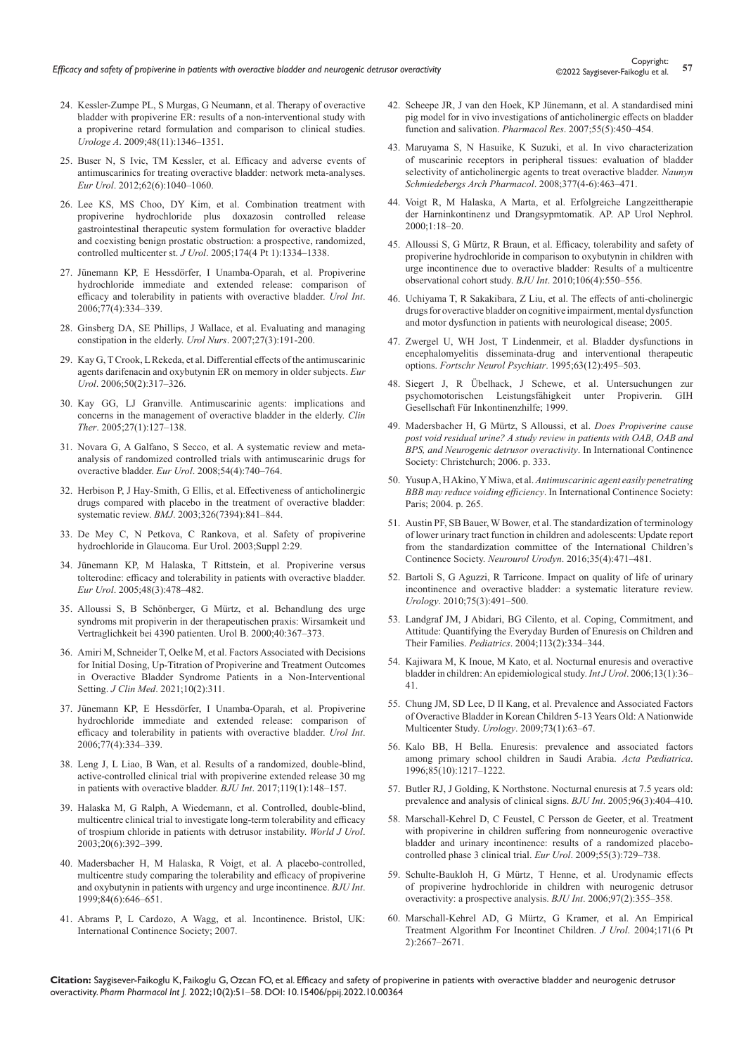- 24. [Kessler-Zumpe PL, S Murgas, G Neumann, et al. Therapy of overactive](https://pubmed.ncbi.nlm.nih.gov/19727644/)  [bladder with propiverine ER: results of a non-interventional study with](https://pubmed.ncbi.nlm.nih.gov/19727644/)  [a propiverine retard formulation and comparison to clinical studies.](https://pubmed.ncbi.nlm.nih.gov/19727644/)  *Urologe A*[. 2009;48\(11\):1346–1351.](https://pubmed.ncbi.nlm.nih.gov/19727644/)
- 25. [Buser N, S Ivic, TM Kessler, et al. Efficacy and adverse events of](https://pubmed.ncbi.nlm.nih.gov/22999811/)  [antimuscarinics for treating overactive bladder: network meta-analyses.](https://pubmed.ncbi.nlm.nih.gov/22999811/)  *Eur Urol*[. 2012;62\(6\):1040–1060.](https://pubmed.ncbi.nlm.nih.gov/22999811/)
- 26. [Lee KS, MS Choo, DY Kim, et al. Combination treatment with](https://pubmed.ncbi.nlm.nih.gov/16145414/)  [propiverine hydrochloride plus doxazosin controlled release](https://pubmed.ncbi.nlm.nih.gov/16145414/)  [gastrointestinal therapeutic system formulation for overactive bladder](https://pubmed.ncbi.nlm.nih.gov/16145414/)  [and coexisting benign prostatic obstruction: a prospective, randomized,](https://pubmed.ncbi.nlm.nih.gov/16145414/)  controlled multicenter st. *J Urol*[. 2005;174\(4 Pt 1\):1334–1338.](https://pubmed.ncbi.nlm.nih.gov/16145414/)
- 27. [Jünemann KP, E Hessdörfer, I Unamba-Oparah, et al. Propiverine](https://pubmed.ncbi.nlm.nih.gov/17135784/)  [hydrochloride immediate and extended release: comparison of](https://pubmed.ncbi.nlm.nih.gov/17135784/)  [efficacy and tolerability in patients with overactive bladder.](https://pubmed.ncbi.nlm.nih.gov/17135784/) *Urol Int*. [2006;77\(4\):334–339.](https://pubmed.ncbi.nlm.nih.gov/17135784/)
- 28. [Ginsberg DA, SE Phillips, J Wallace, et al. Evaluating and managing](https://pubmed.ncbi.nlm.nih.gov/17674594/)  [constipation in the elderly.](https://pubmed.ncbi.nlm.nih.gov/17674594/) *Urol Nurs*. 2007;27(3):191-200.
- 29. [Kay G, T Crook, L Rekeda, et al. Differential effects of the antimuscarinic](https://pubmed.ncbi.nlm.nih.gov/16687205)  [agents darifenacin and oxybutynin ER on memory in older subjects.](https://pubmed.ncbi.nlm.nih.gov/16687205) *Eur Urol*[. 2006;50\(2\):317–326.](https://pubmed.ncbi.nlm.nih.gov/16687205)
- 30. [Kay GG, LJ Granville. Antimuscarinic agents: implications and](https://pubmed.ncbi.nlm.nih.gov/15763613/)  [concerns in the management of overactive bladder in the elderly.](https://pubmed.ncbi.nlm.nih.gov/15763613/) *Clin Ther*[. 2005;27\(1\):127–138.](https://pubmed.ncbi.nlm.nih.gov/15763613/)
- 31. [Novara G, A Galfano, S Secco, et al. A systematic review and meta](https://pubmed.ncbi.nlm.nih.gov/18632201/)[analysis of randomized controlled trials with antimuscarinic drugs for](https://pubmed.ncbi.nlm.nih.gov/18632201/)  overactive bladder. *Eur Urol*[. 2008;54\(4\):740–764.](https://pubmed.ncbi.nlm.nih.gov/18632201/)
- 32. [Herbison P, J Hay-Smith, G Ellis, et al. Effectiveness of anticholinergic](https://pubmed.ncbi.nlm.nih.gov/12702614/)  [drugs compared with placebo in the treatment of overactive bladder:](https://pubmed.ncbi.nlm.nih.gov/12702614/)  systematic review. *BMJ*[. 2003;326\(7394\):841–844.](https://pubmed.ncbi.nlm.nih.gov/12702614/)
- 33. De Mey C, N Petkova, C Rankova, et al. Safety of propiverine hydrochloride in Glaucoma. Eur Urol. 2003;Suppl 2:29.
- 34. [Jünemann KP, M Halaska, T Rittstein, et al. Propiverine versus](https://pubmed.ncbi.nlm.nih.gov/15967567)  [tolterodine: efficacy and tolerability in patients with overactive bladder.](https://pubmed.ncbi.nlm.nih.gov/15967567)  *Eur Urol*[. 2005;48\(3\):478–482.](https://pubmed.ncbi.nlm.nih.gov/15967567)
- 35. Alloussi S, B Schönberger, G Mürtz, et al. Behandlung des urge syndroms mit propiverin in der therapeutischen praxis: Wirsamkeit und Vertraglichkeit bei 4390 patienten. Urol B. 2000;40:367–373.
- 36. [Amiri M, Schneider T, Oelke M, et al. Factors Associated with Decisions](https://pubmed.ncbi.nlm.nih.gov/33467690/)  [for Initial Dosing, Up-Titration of Propiverine and Treatment Outcomes](https://pubmed.ncbi.nlm.nih.gov/33467690/)  [in Overactive Bladder Syndrome Patients in a Non-Interventional](https://pubmed.ncbi.nlm.nih.gov/33467690/)  Setting. *J Clin Med*[. 2021;10\(2\):311.](https://pubmed.ncbi.nlm.nih.gov/33467690/)
- 37. Jü[nemann KP, E Hessdörfer, I Unamba-Oparah, et al. Propiverine](https://pubmed.ncbi.nlm.nih.gov/17135784/)  [hydrochloride immediate and extended release: comparison of](https://pubmed.ncbi.nlm.nih.gov/17135784/)  [efficacy and tolerability in patients with overactive bladder.](https://pubmed.ncbi.nlm.nih.gov/17135784/) *Urol Int*. [2006;77\(4\):334–339.](https://pubmed.ncbi.nlm.nih.gov/17135784/)
- 38. [Leng J, L Liao, B Wan, et al. Results of a randomized, double-blind,](https://pubmed.ncbi.nlm.nih.gov/27087507)  [active-controlled clinical trial with propiverine extended release 30 mg](https://pubmed.ncbi.nlm.nih.gov/27087507)  [in patients with overactive bladder.](https://pubmed.ncbi.nlm.nih.gov/27087507) *BJU Int*. 2017;119(1):148–157.
- 39. [Halaska M, G Ralph, A Wiedemann, et al. Controlled, double-blind,](https://pubmed.ncbi.nlm.nih.gov/12811500/)  [multicentre clinical trial to investigate long-term tolerability and efficacy](https://pubmed.ncbi.nlm.nih.gov/12811500/)  [of trospium chloride in patients with detrusor instability.](https://pubmed.ncbi.nlm.nih.gov/12811500/) *World J Urol*. [2003;20\(6\):392–399.](https://pubmed.ncbi.nlm.nih.gov/12811500/)
- 40. [Madersbacher H, M Halaska, R Voigt, et al. A placebo-controlled,](https://pubmed.ncbi.nlm.nih.gov/10510109/)  [multicentre study comparing the tolerability and efficacy of propiverine](https://pubmed.ncbi.nlm.nih.gov/10510109/)  [and oxybutynin in patients with urgency and urge incontinence.](https://pubmed.ncbi.nlm.nih.gov/10510109/) *BJU Int*. [1999;84\(6\):646–651.](https://pubmed.ncbi.nlm.nih.gov/10510109/)
- 41. Abrams P, L Cardozo, A Wagg, et al. Incontinence. Bristol, UK: International Continence Society; 2007.
- 42. Scheepe JR, J van den Hoek, KP J[ünemann, et al. A standardised mini](https://pubmed.ncbi.nlm.nih.gov/17368042/)  [pig model for in vivo investigations of anticholinergic effects on bladder](https://pubmed.ncbi.nlm.nih.gov/17368042/)  [function and salivation.](https://pubmed.ncbi.nlm.nih.gov/17368042/) *Pharmacol Res*. 2007;55(5):450–454.
- 43. [Maruyama S, N Hasuike, K Suzuki, et al. In vivo characterization](https://pubmed.ncbi.nlm.nih.gov/18074121/)  [of muscarinic receptors in peripheral tissues: evaluation of bladder](https://pubmed.ncbi.nlm.nih.gov/18074121/)  [selectivity of anticholinergic agents to treat overactive bladder.](https://pubmed.ncbi.nlm.nih.gov/18074121/) *Naunyn [Schmiedebergs Arch Pharmacol](https://pubmed.ncbi.nlm.nih.gov/18074121/)*. 2008;377(4-6):463–471.
- 44. Voigt R, M Halaska, A Marta, et al. Erfolgreiche Langzeittherapie der Harninkontinenz und Drangsypmtomatik. AP. AP Urol Nephrol. 2000;1:18–20.
- 45. [Alloussi S, G Mürtz, R Braun, et al. Efficacy, tolerability and safety of](https://pubmed.ncbi.nlm.nih.gov/20002668/)  [propiverine hydrochloride in comparison to oxybutynin in children with](https://pubmed.ncbi.nlm.nih.gov/20002668/)  [urge incontinence due to overactive bladder: Results of a multicentre](https://pubmed.ncbi.nlm.nih.gov/20002668/)  [observational cohort study.](https://pubmed.ncbi.nlm.nih.gov/20002668/) *BJU Int*. 2010;106(4):550–556.
- 46. [Uchiyama T, R Sakakibara, Z Liu, et al. The effects of anti-cholinergic](https://www.ics.org/Abstracts/Publish/43/000245.pdf)  [drugs for overactive bladder on cognitive impairment, mental dysfunction](https://www.ics.org/Abstracts/Publish/43/000245.pdf)  [and motor dysfunction in patients with neurological disease; 2005.](https://www.ics.org/Abstracts/Publish/43/000245.pdf)
- 47. [Zwergel U, WH Jost, T Lindenmeir, et al. Bladder dysfunctions in](https://pubmed.ncbi.nlm.nih.gov/8586353/)  [encephalomyelitis disseminata-drug and interventional therapeutic](https://pubmed.ncbi.nlm.nih.gov/8586353/)  options. *[Fortschr Neurol Psychiatr](https://pubmed.ncbi.nlm.nih.gov/8586353/)*. 1995;63(12):495–503.
- 48. Siegert J, R Übelhack, J Schewe, et al. Untersuchungen zur psychomotorischen Leistungsfähigkeit unter Propiverin. GIH Gesellschaft Für Inkontinenzhilfe; 1999.
- 49. Madersbacher H, G Mürtz, S Alloussi, et al. *Does Propiverine cause post void residual urine? A study review in patients with OAB, OAB and BPS, and Neurogenic detrusor overactivity*. In International Continence Society: Christchurch: 2006. p. 333.
- 50. Yusup A, H Akino, Y Miwa, et al. *[Antimuscarinic agent easily penetrating](https://www.ics.org/Abstracts/Publish/42/000265.pdf)  BBB may reduce voiding efficiency*[. In International Continence Society:](https://www.ics.org/Abstracts/Publish/42/000265.pdf)  [Paris; 2004. p. 265.](https://www.ics.org/Abstracts/Publish/42/000265.pdf)
- 51. [Austin PF, SB Bauer, W Bower, et al. The standardization of terminology](https://pubmed.ncbi.nlm.nih.gov/25772695/)  [of lower urinary tract function in children and adolescents: Update report](https://pubmed.ncbi.nlm.nih.gov/25772695/)  [from the standardization committee of the International Children's](https://pubmed.ncbi.nlm.nih.gov/25772695/)  Continence Society. *Neurourol Urodyn*[. 2016;35\(4\):471–481.](https://pubmed.ncbi.nlm.nih.gov/25772695/)
- 52. [Bartoli S, G Aguzzi, R Tarricone. Impact on quality of life of urinary](https://pubmed.ncbi.nlm.nih.gov/19962738/)  [incontinence and overactive bladder: a systematic literature review.](https://pubmed.ncbi.nlm.nih.gov/19962738/)  *Urology*[. 2010;75\(3\):491–500.](https://pubmed.ncbi.nlm.nih.gov/19962738/)
- 53. [Landgraf JM, J Abidari, BG Cilento, et al. Coping, Commitment, and](https://pubmed.ncbi.nlm.nih.gov/14754946/)  [Attitude: Quantifying the Everyday Burden of Enuresis on Children and](https://pubmed.ncbi.nlm.nih.gov/14754946/)  Their Families. *Pediatrics*[. 2004;113\(2\):334–344.](https://pubmed.ncbi.nlm.nih.gov/14754946/)
- 54. [Kajiwara M, K Inoue, M Kato, et al. Nocturnal enuresis and overactive](https://pubmed.ncbi.nlm.nih.gov/16448430/)  [bladder in children: An epidemiological study.](https://pubmed.ncbi.nlm.nih.gov/16448430/) *Int J Urol*. 2006;13(1):36– [41.](https://pubmed.ncbi.nlm.nih.gov/16448430/)
- 55. [Chung JM, SD Lee, D Il Kang, et al. Prevalence and Associated Factors](https://pubmed.ncbi.nlm.nih.gov/18829077/)  [of Overactive Bladder in Korean Children 5-13 Years Old: A Nationwide](https://pubmed.ncbi.nlm.nih.gov/18829077/)  Multicenter Study. *Urology*[. 2009;73\(1\):63–67.](https://pubmed.ncbi.nlm.nih.gov/18829077/)
- 56. [Kalo BB, H Bella. Enuresis: prevalence and associated factors](https://pubmed.ncbi.nlm.nih.gov/8922087)  [among primary school children in Saudi Arabia.](https://pubmed.ncbi.nlm.nih.gov/8922087) *Acta Pædiatrica*. [1996;85\(10\):1217–1222.](https://pubmed.ncbi.nlm.nih.gov/8922087)
- 57. [Butler RJ, J Golding, K Northstone. Nocturnal enuresis at 7.5 years old:](https://pubmed.ncbi.nlm.nih.gov/16042739/)  [prevalence and analysis of clinical signs.](https://pubmed.ncbi.nlm.nih.gov/16042739/) *BJU Int*. 2005;96(3):404–410.
- 58. [Marschall-Kehrel D, C Feustel, C Persson de Geeter, et al. Treatment](https://pubmed.ncbi.nlm.nih.gov/18502028/)  [with propiverine in children suffering from nonneurogenic overactive](https://pubmed.ncbi.nlm.nih.gov/18502028/)  [bladder and urinary incontinence: results of a randomized placebo](https://pubmed.ncbi.nlm.nih.gov/18502028/)[controlled phase 3 clinical trial.](https://pubmed.ncbi.nlm.nih.gov/18502028/) *Eur Urol*. 2009;55(3):729–738.
- 59. [Schulte-Baukloh H, G Mürtz, T Henne, et al. Urodynamic effects](https://pubmed.ncbi.nlm.nih.gov/16430646/)  [of propiverine hydrochloride in children with neurogenic detrusor](https://pubmed.ncbi.nlm.nih.gov/16430646/)  [overactivity: a prospective analysis.](https://pubmed.ncbi.nlm.nih.gov/16430646/) *BJU Int*. 2006;97(2):355–358.
- 60. [Marschall-Kehrel AD, G Mürtz, G Kramer, et al. An Empirical](https://pubmed.ncbi.nlm.nih.gov/15118448/)  [Treatment Algorithm For Incontinet Children.](https://pubmed.ncbi.nlm.nih.gov/15118448/) *J Urol*. 2004;171(6 Pt [2\):2667–2671.](https://pubmed.ncbi.nlm.nih.gov/15118448/)